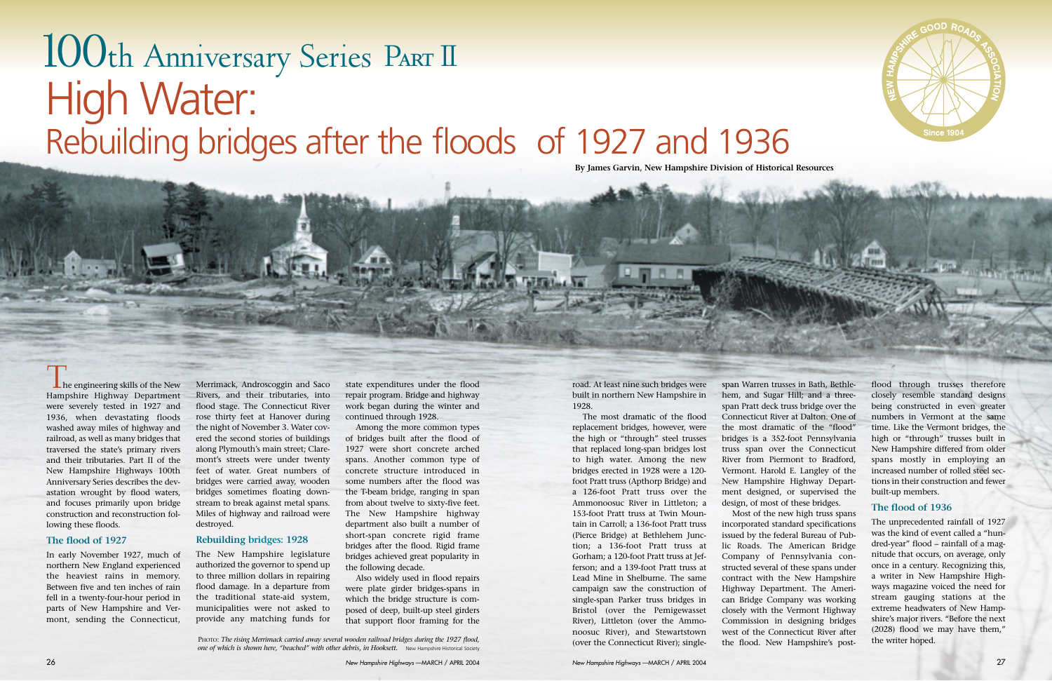

road. At least nine such bridges were built in northern New Hampshire in 1928.

The most dramatic of the flood replacement bridges, however, were the high or "through" steel trusses that replaced long-span bridges lost to high water. Among the new bridges erected in 1928 were a 120 foot Pratt truss (Apthorp Bridge) and a 126-foot Pratt truss over the Ammonoosuc River in Littleton; a 153-foot Pratt truss at Twin Mountain in Carroll; a 136-foot Pratt truss (Pierce Bridge) at Bethlehem Junction; a 136-foot Pratt truss at Gorham; a 120-foot Pratt truss at Jefferson; and a 139-foot Pratt truss at Lead Mine in Shelburne. The same campaign saw the construction of single-span Parker truss bridges in Bristol (over the Pemigewasset River), Littleton (over the Ammonoosuc River), and Stewartstown (over the Connecticut River); single-

₩ flood through trusses therefore span Warren trusses in Bath, Bethlehem, and Sugar Hill; and a threeclosely resemble standard designs span Pratt deck truss bridge over the being constructed in even greater Connecticut River at Dalton. One of numbers in Vermont at the same the most dramatic of the "flood" time. Like the Vermont bridges, the bridges is a 352-foot Pennsylvania high or "through" trusses built in New Hampshire differed from older truss span over the Connecticut River from Piermont to Bradford, spans mostly in employing an Vermont. Harold E. Langley of the increased number of rolled steel sec-New Hampshire Highway Departtions in their construction and fewer ment designed, or supervised the built-up members. design, of most of these bridges. **The flood of 1936** Most of the new high truss spans

 $\blacksquare$  he engineering skills of the New Hampshire Highway Department were severely tested in 1927 and 1936, when devastating floods washed away miles of highway and railroad, as well as many bridges that traversed the state's primary rivers and their tributaries. Part II of the New Hampshire Highways 100th Anniversary Series describes the devastation wrought by flood waters, and focuses primarily upon bridge construction and reconstruction following these floods.

incorporated standard specifications issued by the federal Bureau of Public Roads. The American Bridge Company of Pennsylvania constructed several of these spans under contract with the New Hampshire Highway Department. The American Bridge Company was working closely with the Vermont Highway Commission in designing bridges west of the Connecticut River after the flood. New Hampshire's post-

The unprecedented rainfall of 1927 was the kind of event called a "hundred-year" flood – rainfall of a magnitude that occurs, on average, only once in a century. Recognizing this, a writer in New Hampshire Highways magazine voiced the need for stream gauging stations at the extreme headwaters of New Hampshire's major rivers. "Before the next (2028) flood we may have them," the writer hoped.

PHOTO: *The rising Merrimack carried away several wooden railroad bridges during the 1927 flood,* one of which is shown here, "beached" with other debris, in Hooksett. New Hampshire Historical Society

#### **The flood of 1927**

In early November 1927, much of northern New England experienced the heaviest rains in memory. Between five and ten inches of rain fell in a twenty-four-hour period in parts of New Hampshire and Vermont, sending the Connecticut,

Merrimack, Androscoggin and Saco Rivers, and their tributaries, into flood stage. The Connecticut River rose thirty feet at Hanover during the night of November 3. Water covered the second stories of buildings along Plymouth's main street; Claremont's streets were under twenty feet of water. Great numbers of bridges were carried away, wooden bridges sometimes floating downstream to break against metal spans. Miles of highway and railroad were destroyed.

#### **Rebuilding bridges: 1928**

The New Hampshire legislature authorized the governor to spend up to three million dollars in repairing flood damage. In a departure from the traditional state-aid system, municipalities were not asked to provide any matching funds for

state expenditures under the flood repair program. Bridge and highway work began during the winter and continued through 1928.

Among the more common types of bridges built after the flood of 1927 were short concrete arched spans. Another common type of concrete structure introduced in some numbers after the flood was the T-beam bridge, ranging in span from about twelve to sixty-five feet. The New Hampshire highway department also built a number of short-span concrete rigid frame bridges after the flood. Rigid frame bridges achieved great popularity in the following decade.

Also widely used in flood repairs were plate girder bridges-spans in which the bridge structure is composed of deep, built-up steel girders that support floor framing for the

# 100th Anniversary Series Part II High Water: Rebuilding bridges after the floods of 1927 and 1936

**By James Garvin, New Hampshire Division of Historical Resources**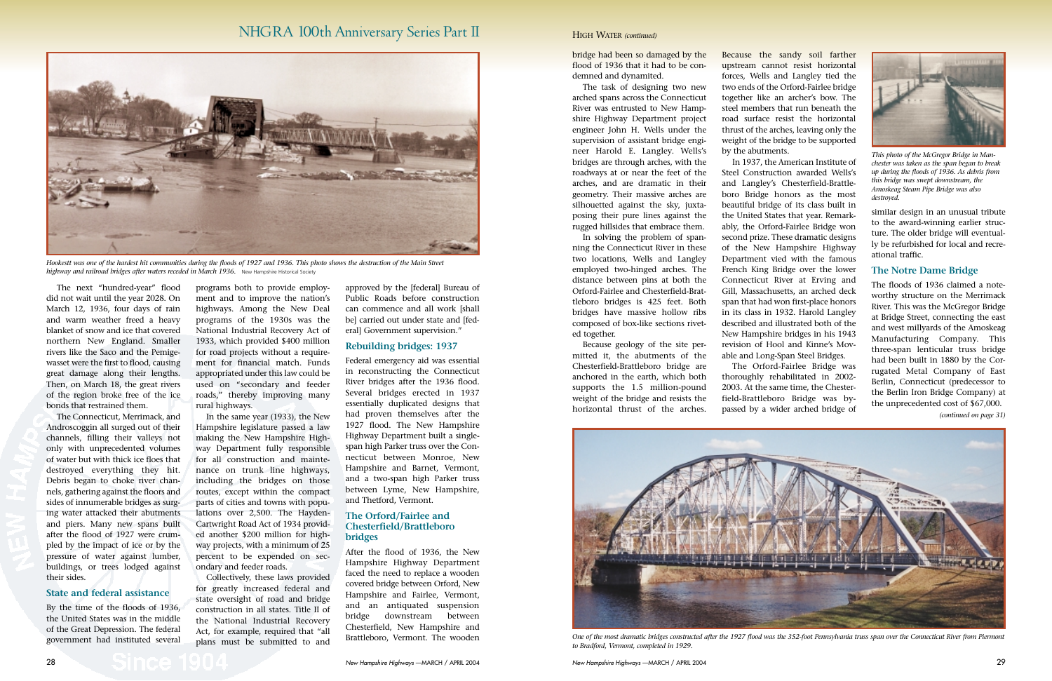bridge had been so damaged by the flood of 1936 that it had to be condemned and dynamited.

The task of designing two new arched spans across the Connecticut River was entrusted to New Hampshire Highway Department project engineer John H. Wells under the supervision of assistant bridge engineer Harold E. Langley. Wells's bridges are through arches, with the roadways at or near the feet of the arches, and are dramatic in their geometry. Their massive arches are silhouetted against the sky, juxtaposing their pure lines against the rugged hillsides that embrace them.

In solving the problem of spanning the Connecticut River in these two locations, Wells and Langley employed two-hinged arches. The distance between pins at both the Orford-Fairlee and Chesterfield-Brattleboro bridges is 425 feet. Both bridges have massive hollow ribs composed of box-like sections riveted together.

Because geology of the site permitted it, the abutments of the Chesterfield-Brattleboro bridge are anchored in the earth, which both supports the 1.5 million-pound weight of the bridge and resists the horizontal thrust of the arches.

Because the sandy soil farther upstream cannot resist horizontal forces, Wells and Langley tied the two ends of the Orford-Fairlee bridge together like an archer's bow. The steel members that run beneath the road surface resist the horizontal thrust of the arches, leaving only the weight of the bridge to be supported



In 1937, the American Institute of Steel Construction awarded Wells's and Langley's Chesterfield-Brattleboro Bridge honors as the most beautiful bridge of its class built in the United States that year. Remarkably, the Orford-Fairlee Bridge won second prize. These dramatic designs of the New Hampshire Highway Department vied with the famous French King Bridge over the lower Connecticut River at Erving and Gill, Massachusetts, an arched deck span that had won first-place honors in its class in 1932. Harold Langley described and illustrated both of the New Hampshire bridges in his 1943 revision of Hool and Kinne's Movable and Long-Span Steel Bridges.

The Orford-Fairlee Bridge was thoroughly rehabilitated in 2002- 2003. At the same time, the Chesterfield-Brattleboro Bridge was bypassed by a wider arched bridge of

similar design in an unusual tribute to the award-winning earlier structure. The older bridge will eventually be refurbished for local and recreational traffic.

## **The Notre Dame Bridge**

The floods of 1936 claimed a noteworthy structure on the Merrimack River. This was the McGregor Bridge at Bridge Street, connecting the east and west millyards of the Amoskeag Manufacturing Company. This three-span lenticular truss bridge had been built in 1880 by the Corrugated Metal Company of East Berlin, Connecticut (predecessor to the Berlin Iron Bridge Company) at the unprecedented cost of \$67,000.

#### HIGH WATER *(continued)*

The next "hundred-year" flood did not wait until the year 2028. On March 12, 1936, four days of rain and warm weather freed a heavy blanket of snow and ice that covered northern New England. Smaller rivers like the Saco and the Pemigewasset were the first to flood, causing great damage along their lengths. Then, on March 18, the great rivers of the region broke free of the ice bonds that restrained them.



*Hookestt was one of the hardest hit communities during the floods of 1927 and 1936. This photo shows the destruction of the Main Street highway and railroad bridges after waters receded in March 1936.* New Hampshire Historical Society

The Connecticut, Merrimack, and Androscoggin all surged out of their channels, filling their valleys not only with unprecedented volumes of water but with thick ice floes that destroyed everything they hit. Debris began to choke river channels, gathering against the floors and sides of innumerable bridges as surging water attacked their abutments and piers. Many new spans built after the flood of 1927 were crumpled by the impact of ice or by the pressure of water against lumber, buildings, or trees lodged against their sides.

#### **State and federal assistance**

By the time of the floods of 1936, the United States was in the middle of the Great Depression. The federal government had instituted several

programs both to provide employment and to improve the nation's highways. Among the New Deal programs of the 1930s was the National Industrial Recovery Act of 1933, which provided \$400 million for road projects without a requirement for financial match. Funds appropriated under this law could be used on "secondary and feeder roads," thereby improving many rural highways.

In the same year (1933), the New Hampshire legislature passed a law making the New Hampshire Highway Department fully responsible for all construction and maintenance on trunk line highways, including the bridges on those routes, except within the compact parts of cities and towns with populations over 2,500. The Hayden-Cartwright Road Act of 1934 provided another \$200 million for highway projects, with a minimum of 25 percent to be expended on secondary and feeder roads.

Collectively, these laws provided for greatly increased federal and state oversight of road and bridge construction in all states. Title II of the National Industrial Recovery Act, for example, required that "all plans must be submitted to and

approved by the [federal] Bureau of Public Roads before construction can commence and all work [shall be] carried out under state and [federal] Government supervision."

#### **Rebuilding bridges: 1937**

Federal emergency aid was essential in reconstructing the Connecticut River bridges after the 1936 flood. Several bridges erected in 1937 essentially duplicated designs that had proven themselves after the 1927 flood. The New Hampshire Highway Department built a singlespan high Parker truss over the Connecticut between Monroe, New Hampshire and Barnet, Vermont, and a two-span high Parker truss between Lyme, New Hampshire, and Thetford, Vermont.

## **The Orford/Fairlee and Chesterfield/Brattleboro bridges**

After the flood of 1936, the New Hampshire Highway Department faced the need to replace a wooden covered bridge between Orford, New Hampshire and Fairlee, Vermont, and an antiquated suspension bridge downstream between Chesterfield, New Hampshire and



Brattleboro, Vermont. The wooden *One of the most dramatic bridges constructed after the 1927 flood was the 352-foot Pennsylvania truss span over the Connecticut River from Piermont to Bradford, Vermont, completed in 1929.* 



*This photo of the McGregor Bridge in Manchester was taken as the span began to break up during the floods of 1936. As debris from this bridge was swept downstream, the Amoskeag Steam Pipe Bridge was also destroyed.*

## NHGRA 100th Anniversary Series Part II

*(continued on page 31)*